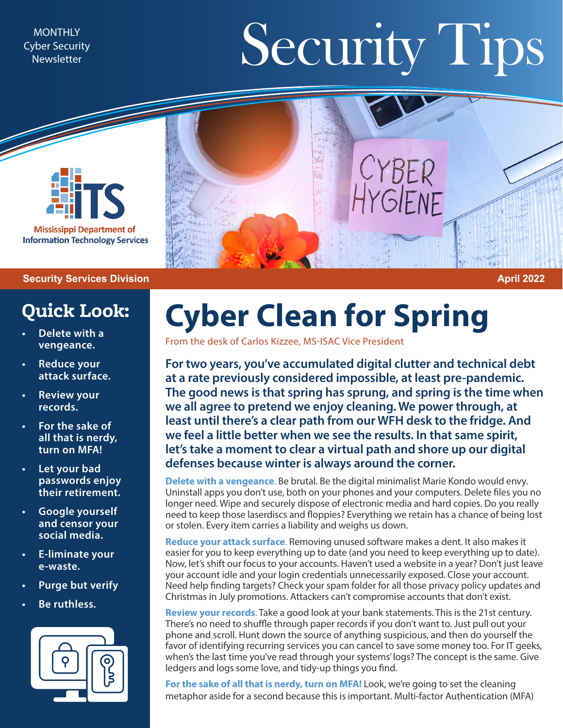Cyber Security **Newsletter** 

## MONTHLY MONTHLY TIPS



**Mississippi Department of Information Technology Services** 

## **Security Services Division April 2022**

## **Quick Look:**

- **• Delete with a vengeance.**
- **• Reduce your attack surface.**
- **• Review your records.**
- **• For the sake of all that is nerdy, turn on MFA!**
- **• Let your bad passwords enjoy their retirement.**
- **• Google yourself and censor your social media.**
- **• E-liminate your e-waste.**
- **• Purge but verify**
- **• Be ruthless.**



## **Cyber Clean for Spring**

From the desk of Carlos Kizzee, MS-ISAC Vice President

**For two years, you've accumulated digital clutter and technical debt at a rate previously considered impossible, at least pre-pandemic. The good news is that spring has sprung, and spring is the time when we all agree to pretend we enjoy cleaning. We power through, at least until there's a clear path from our WFH desk to the fridge. And we feel a little better when we see the results. In that same spirit, let's take a moment to clear a virtual path and shore up our digital defenses because winter is always around the corner.**

**Delete with a vengeance**. Be brutal. Be the digital minimalist Marie Kondo would envy. Uninstall apps you don't use, both on your phones and your computers. Delete files you no longer need. Wipe and securely dispose of electronic media and hard copies. Do you really need to keep those laserdiscs and floppies? Everything we retain has a chance of being lost or stolen. Every item carries a liability and weighs us down.

**Reduce your attack surface**. Removing unused software makes a dent. It also makes it easier for you to keep everything up to date (and you need to keep everything up to date). Now, let's shift our focus to your accounts. Haven't used a website in a year? Don't just leave your account idle and your login credentials unnecessarily exposed. Close your account. Need help finding targets? Check your spam folder for all those privacy policy updates and Christmas in July promotions. Attackers can't compromise accounts that don't exist.

**Review your records**. Take a good look at your bank statements. This is the 21st century. There's no need to shuffle through paper records if you don't want to. Just pull out your phone and scroll. Hunt down the source of anything suspicious, and then do yourself the favor of identifying recurring services you can cancel to save some money too. For IT geeks, when's the last time you've read through your systems' logs? The concept is the same. Give ledgers and logs some love, and tidy-up things you find.

For the sake of all that is nerdy, turn on MFA! Look, we're going to set the cleaning metaphor aside for a second because this is important. Multi-factor Authentication (MFA)